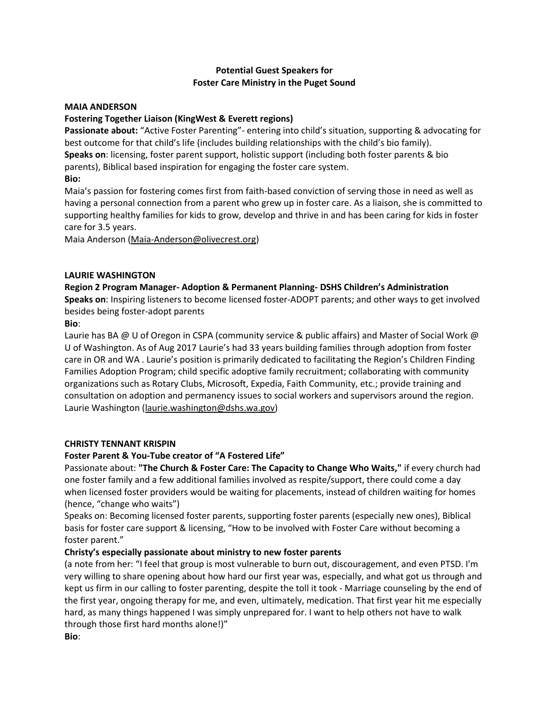# **Potential Guest Speakers for Foster Care Ministry in the Puget Sound**

#### **MAIA ANDERSON**

## **Fostering Together Liaison (KingWest & Everett regions)**

**Passionate about:** "Active Foster Parenting"- entering into child's situation, supporting & advocating for best outcome for that child's life (includes building relationships with the child's bio family). **Speaks on**: licensing, foster parent support, holistic support (including both foster parents & bio parents), Biblical based inspiration for engaging the foster care system. **Bio:**

Maia's passion for fostering comes first from faith-based conviction of serving those in need as well as having a personal connection from a parent who grew up in foster care. As a liaison, she is committed to supporting healthy families for kids to grow, develop and thrive in and has been caring for kids in foster care for 3.5 years.

Maia Anderson [\(Maia-Anderson@olivecrest.org\)](mailto:Maia-Anderson@olivecrest.org)

#### **LAURIE WASHINGTON**

# **Region 2 Program Manager- Adoption & Permanent Planning- DSHS Children's Administration**

**Speaks on**: Inspiring listeners to become licensed foster-ADOPT parents; and other ways to get involved besides being foster-adopt parents

#### **Bio**:

Laurie has BA @ U of Oregon in CSPA (community service & public affairs) and Master of Social Work @ U of Washington. As of Aug 2017 Laurie's had 33 years building families through adoption from foster care in OR and WA . Laurie's position is primarily dedicated to facilitating the Region's Children Finding Families Adoption Program; child specific adoptive family recruitment; collaborating with community organizations such as Rotary Clubs, Microsoft, Expedia, Faith Community, etc.; provide training and consultation on adoption and permanency issues to social workers and supervisors around the region. Laurie Washington [\(laurie.washington@dshs.wa.gov\)](mailto:laurie.washington@dshs.wa.gov)

## **CHRISTY TENNANT KRISPIN**

## **Foster Parent & You-Tube creator of "A Fostered Life"**

Passionate about: **"The Church & Foster Care: The Capacity to Change Who Waits,"** if every church had one foster family and a few additional families involved as respite/support, there could come a day when licensed foster providers would be waiting for placements, instead of children waiting for homes (hence, "change who waits")

Speaks on: Becoming licensed foster parents, supporting foster parents (especially new ones), Biblical basis for foster care support & licensing, "How to be involved with Foster Care without becoming a foster parent."

## **Christy's especially passionate about ministry to new foster parents**

(a note from her: "I feel that group is most vulnerable to burn out, discouragement, and even PTSD. I'm very willing to share opening about how hard our first year was, especially, and what got us through and kept us firm in our calling to foster parenting, despite the toll it took - Marriage counseling by the end of the first year, ongoing therapy for me, and even, ultimately, medication. That first year hit me especially hard, as many things happened I was simply unprepared for. I want to help others not have to walk through those first hard months alone!)" **Bio**: